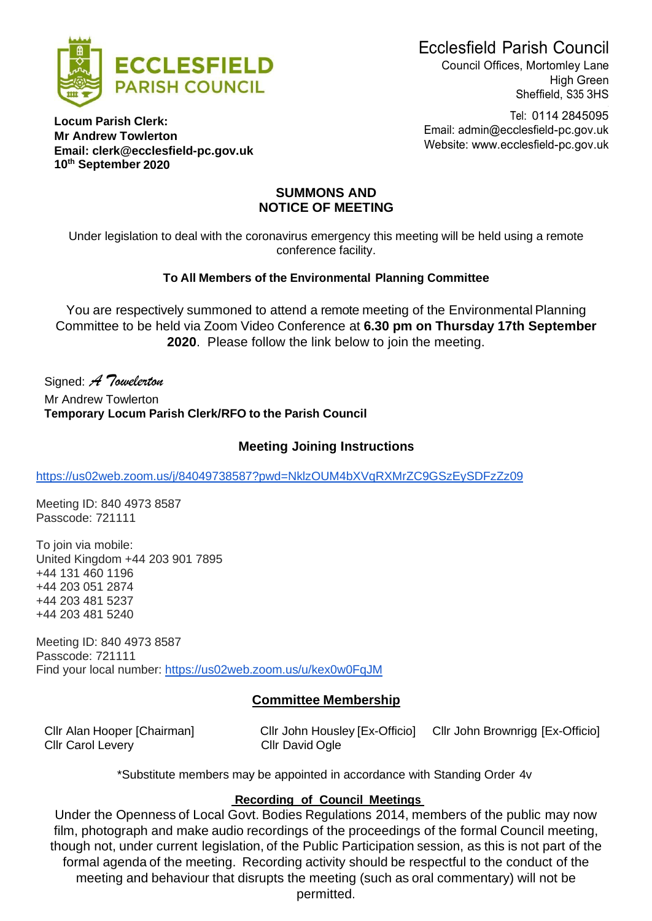



Council Offices, Mortomley Lane High Green Sheffield, S35 3HS

Tel: 0114 2845095 Email: [admin@ecclesfield-pc.gov.uk](mailto:admin@ecclesfield-pc.gov.uk) Website: [www.ecclesfield-pc.gov.uk](http://www.ecclesfield-pc.gov.uk/)

#### **Locum Parish Clerk: Mr Andrew Towlerton Email: [clerk@ecclesfield-pc.gov.uk](mailto:clerk@ecclesfield-pc.gov.uk) 10 th September 2020**

#### **SUMMONS AND NOTICE OF MEETING**

Under legislation to deal with the coronavirus emergency this meeting will be held using a remote conference facility.

## **To All Members of the Environmental Planning Committee**

You are respectively summoned to attend a remote meeting of the Environmental Planning Committee to be held via Zoom Video Conference at **6.30 pm on Thursday 17th September 2020**. Please follow the link below to join the meeting.

Signed: *A Towelerton* Mr Andrew Towlerton **Temporary Locum Parish Clerk/RFO to the Parish Council**

# **Meeting Joining Instructions**

<https://us02web.zoom.us/j/84049738587?pwd=NklzOUM4bXVqRXMrZC9GSzEySDFzZz09>

Meeting ID: 840 4973 8587 Passcode: 721111

To join via mobile: United Kingdom +44 203 901 7895 +44 131 460 1196 +44 203 051 2874 +44 203 481 5237 +44 203 481 5240

Meeting ID: 840 4973 8587 Passcode: 721111 Find your local number: <https://us02web.zoom.us/u/kex0w0FqJM>

# **Committee Membership**

Cllr Carol Levery Cllr David Ogle

Cllr Alan Hooper [Chairman] Cllr John Housley [Ex-Officio] Cllr John Brownrigg [Ex-Officio]

\*Substitute members may be appointed in accordance with Standing Order 4v

### **Recording of Council Meetings**

Under the Openness of Local Govt. Bodies Regulations 2014, members of the public may now film, photograph and make audio recordings of the proceedings of the formal Council meeting, though not, under current legislation, of the Public Participation session, as this is not part of the formal agenda of the meeting. Recording activity should be respectful to the conduct of the meeting and behaviour that disrupts the meeting (such as oral commentary) will not be permitted.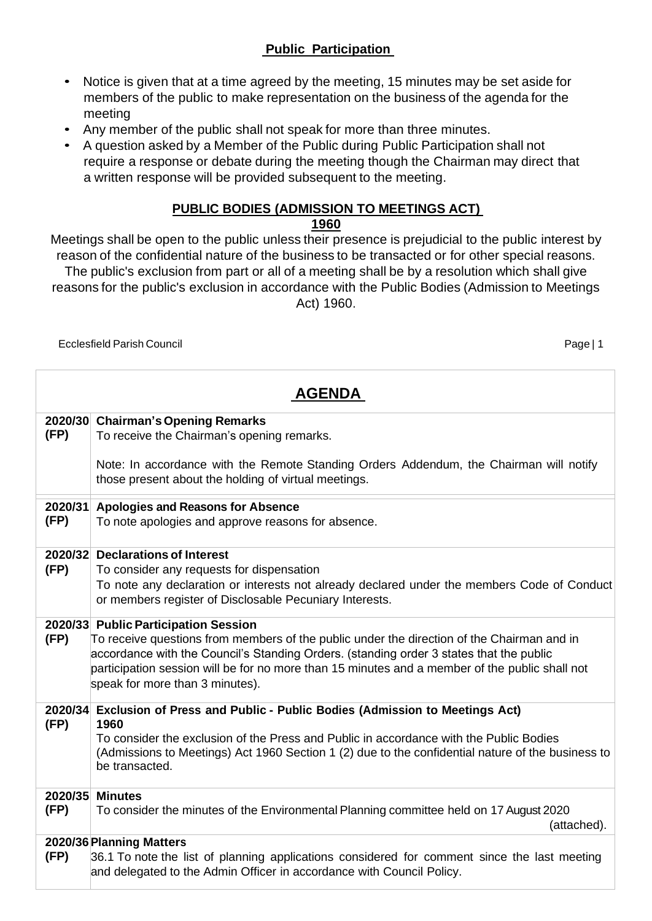# **Public Participation**

- Notice is given that at a time agreed by the meeting, 15 minutes may be set aside for members of the public to make representation on the business of the agenda for the meeting
- Any member of the public shall not speak for more than three minutes.
- A question asked by a Member of the Public during Public Participation shall not require a response or debate during the meeting though the Chairman may direct that a written response will be provided subsequent to the meeting.

## **PUBLIC BODIES (ADMISSION TO MEETINGS ACT)**

#### **1960**

Meetings shall be open to the public unless their presence is prejudicial to the public interest by reason of the confidential nature of the business to be transacted or for other special reasons. The public's exclusion from part or all of a meeting shall be by a resolution which shall give reasons for the public's exclusion in accordance with the Public Bodies (Admission to Meetings Act) 1960.

Ecclesfield Parish Council Page | 1

| <b>AGENDA</b>                                      |                                                                                                                                                                                                                                                                                         |  |  |  |  |  |
|----------------------------------------------------|-----------------------------------------------------------------------------------------------------------------------------------------------------------------------------------------------------------------------------------------------------------------------------------------|--|--|--|--|--|
|                                                    | 2020/30 Chairman's Opening Remarks                                                                                                                                                                                                                                                      |  |  |  |  |  |
| (FP)<br>To receive the Chairman's opening remarks. |                                                                                                                                                                                                                                                                                         |  |  |  |  |  |
|                                                    | Note: In accordance with the Remote Standing Orders Addendum, the Chairman will notify<br>those present about the holding of virtual meetings.                                                                                                                                          |  |  |  |  |  |
| 2020/31                                            | <b>Apologies and Reasons for Absence</b>                                                                                                                                                                                                                                                |  |  |  |  |  |
| (FP)                                               | To note apologies and approve reasons for absence.                                                                                                                                                                                                                                      |  |  |  |  |  |
|                                                    | 2020/32 Declarations of Interest                                                                                                                                                                                                                                                        |  |  |  |  |  |
| (FP)                                               | To consider any requests for dispensation                                                                                                                                                                                                                                               |  |  |  |  |  |
|                                                    | To note any declaration or interests not already declared under the members Code of Conduct<br>or members register of Disclosable Pecuniary Interests.                                                                                                                                  |  |  |  |  |  |
| 2020/33 Public Participation Session               |                                                                                                                                                                                                                                                                                         |  |  |  |  |  |
| (FP)                                               | To receive questions from members of the public under the direction of the Chairman and in<br>accordance with the Council's Standing Orders. (standing order 3 states that the public<br>participation session will be for no more than 15 minutes and a member of the public shall not |  |  |  |  |  |
|                                                    | speak for more than 3 minutes).                                                                                                                                                                                                                                                         |  |  |  |  |  |
| 2020/34<br>(FP)                                    | Exclusion of Press and Public - Public Bodies (Admission to Meetings Act)<br>1960                                                                                                                                                                                                       |  |  |  |  |  |
|                                                    | To consider the exclusion of the Press and Public in accordance with the Public Bodies<br>(Admissions to Meetings) Act 1960 Section 1 (2) due to the confidential nature of the business to<br>be transacted.                                                                           |  |  |  |  |  |
| 2020/35                                            | <b>Minutes</b>                                                                                                                                                                                                                                                                          |  |  |  |  |  |
| (FP)                                               | To consider the minutes of the Environmental Planning committee held on 17 August 2020<br>(attached).                                                                                                                                                                                   |  |  |  |  |  |
| 2020/36 Planning Matters                           |                                                                                                                                                                                                                                                                                         |  |  |  |  |  |
| (FP)                                               | 36.1 To note the list of planning applications considered for comment since the last meeting<br>and delegated to the Admin Officer in accordance with Council Policy.                                                                                                                   |  |  |  |  |  |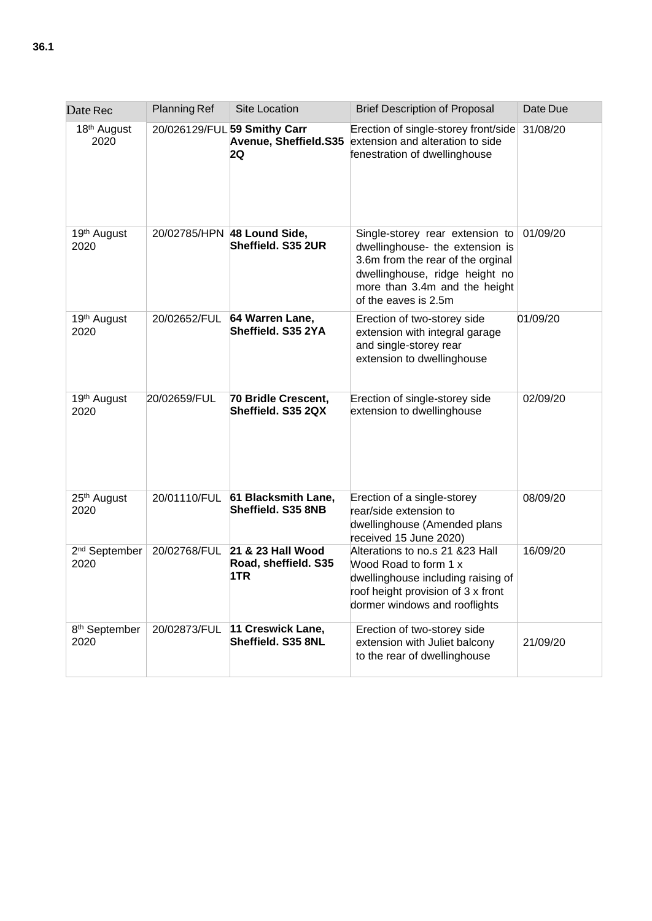| Date Rec                          | <b>Planning Ref</b> | <b>Site Location</b>                                          | <b>Brief Description of Proposal</b>                                                                                                                                                               | Date Due |
|-----------------------------------|---------------------|---------------------------------------------------------------|----------------------------------------------------------------------------------------------------------------------------------------------------------------------------------------------------|----------|
| 18 <sup>th</sup> August<br>2020   |                     | 20/026129/FUL 59 Smithy Carr<br>Avenue, Sheffield.S35<br>2Q   | Erection of single-storey front/side<br>extension and alteration to side<br>fenestration of dwellinghouse                                                                                          | 31/08/20 |
| 19th August<br>2020               |                     | 20/02785/HPN 48 Lound Side,<br>Sheffield, S35 2UR             | Single-storey rear extension to<br>dwellinghouse- the extension is<br>3.6m from the rear of the orginal<br>dwellinghouse, ridge height no<br>more than 3.4m and the height<br>of the eaves is 2.5m | 01/09/20 |
| 19 <sup>th</sup> August<br>2020   | 20/02652/FUL        | 64 Warren Lane,<br>Sheffield. S35 2YA                         | Erection of two-storey side<br>extension with integral garage<br>and single-storey rear<br>extension to dwellinghouse                                                                              | 01/09/20 |
| 19th August<br>2020               | 20/02659/FUL        | 70 Bridle Crescent,<br>Sheffield. S35 2QX                     | Erection of single-storey side<br>extension to dwellinghouse                                                                                                                                       | 02/09/20 |
| 25 <sup>th</sup> August<br>2020   | 20/01110/FUL        | 61 Blacksmith Lane,<br>Sheffield. S35 8NB                     | Erection of a single-storey<br>rear/side extension to<br>dwellinghouse (Amended plans<br>received 15 June 2020)                                                                                    | 08/09/20 |
| 2 <sup>nd</sup> September<br>2020 |                     | 20/02768/FUL 21 & 23 Hall Wood<br>Road, sheffield. S35<br>1TR | Alterations to no.s 21 & 23 Hall<br>Wood Road to form 1 x<br>dwellinghouse including raising of<br>roof height provision of 3 x front<br>dormer windows and rooflights                             | 16/09/20 |
| 8 <sup>th</sup> September<br>2020 | 20/02873/FUL        | 11 Creswick Lane,<br>Sheffield. S35 8NL                       | Erection of two-storey side<br>extension with Juliet balcony<br>to the rear of dwellinghouse                                                                                                       | 21/09/20 |